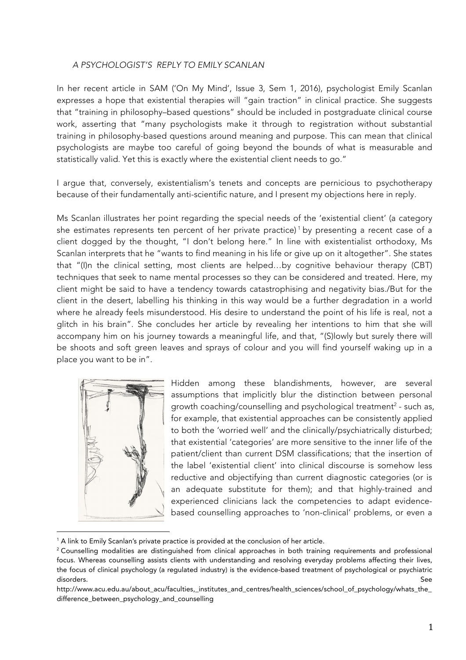## *A PSYCHOLOGIST'S REPLY TO EMILY SCANLAN*

In her recent article in SAM ('On My Mind', Issue 3, Sem 1, 2016), psychologist Emily Scanlan expresses a hope that existential therapies will "gain traction" in clinical practice. She suggests that "training in philosophy–based questions" should be included in postgraduate clinical course work, asserting that "many psychologists make it through to registration without substantial training in philosophy-based questions around meaning and purpose. This can mean that clinical psychologists are maybe too careful of going beyond the bounds of what is measurable and statistically valid. Yet this is exactly where the existential client needs to go."

I argue that, conversely, existentialism's tenets and concepts are pernicious to psychotherapy because of their fundamentally anti-scientific nature, and I present my objections here in reply.

Ms Scanlan illustrates her point regarding the special needs of the 'existential client' (a category she estimates represents ten percent of her private practice)<sup>1</sup> by presenting a recent case of a client dogged by the thought, "I don't belong here." In line with existentialist orthodoxy, Ms Scanlan interprets that he "wants to find meaning in his life or give up on it altogether". She states that "(I)n the clinical setting, most clients are helped…by cognitive behaviour therapy (CBT) techniques that seek to name mental processes so they can be considered and treated. Here, my client might be said to have a tendency towards catastrophising and negativity bias./But for the client in the desert, labelling his thinking in this way would be a further degradation in a world where he already feels misunderstood. His desire to understand the point of his life is real, not a glitch in his brain". She concludes her article by revealing her intentions to him that she will accompany him on his journey towards a meaningful life, and that, "(S)lowly but surely there will be shoots and soft green leaves and sprays of colour and you will find yourself waking up in a place you want to be in".



 $\overline{a}$ 

Hidden among these blandishments, however, are several assumptions that implicitly blur the distinction between personal growth coaching/counselling and psychological treatment<sup>2</sup> - such as, for example, that existential approaches can be consistently applied to both the 'worried well' and the clinically/psychiatrically disturbed; that existential 'categories' are more sensitive to the inner life of the patient/client than current DSM classifications; that the insertion of the label 'existential client' into clinical discourse is somehow less reductive and objectifying than current diagnostic categories (or is an adequate substitute for them); and that highly-trained and experienced clinicians lack the competencies to adapt evidencebased counselling approaches to 'non-clinical' problems, or even a

<sup>&</sup>lt;sup>1</sup> A link to Emily Scanlan's private practice is provided at the conclusion of her article.

<sup>&</sup>lt;sup>2</sup> Counselling modalities are distinguished from clinical approaches in both training requirements and professional focus. Whereas counselling assists clients with understanding and resolving everyday problems affecting their lives, the focus of clinical psychology (a regulated industry) is the evidence-based treatment of psychological or psychiatric disorders. See

http://www.acu.edu.au/about\_acu/faculties,\_institutes\_and\_centres/health\_sciences/school\_of\_psychology/whats\_the\_ difference\_between\_psychology\_and\_counselling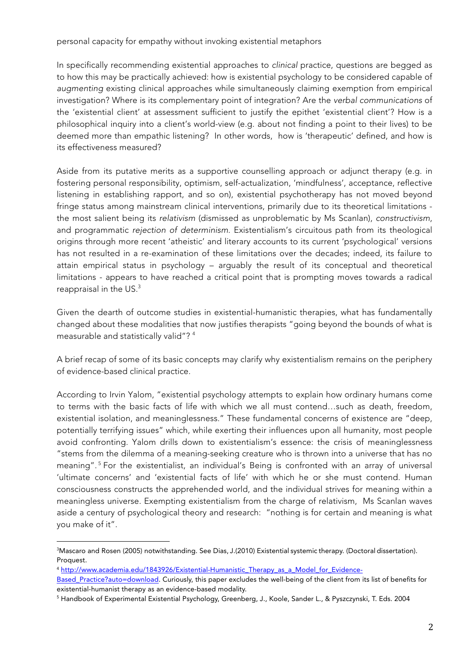personal capacity for empathy without invoking existential metaphors

In specifically recommending existential approaches to *clinical* practice, questions are begged as to how this may be practically achieved: how is existential psychology to be considered capable of *augmenting* existing clinical approaches while simultaneously claiming exemption from empirical investigation? Where is its complementary point of integration? Are the *verbal communications* of the 'existential client' at assessment sufficient to justify the epithet 'existential client'? How is a philosophical inquiry into a client's world-view (e.g. about not finding a point to their lives) to be deemed more than empathic listening? In other words, how is 'therapeutic' defined, and how is its effectiveness measured?

Aside from its putative merits as a supportive counselling approach or adjunct therapy (e.g. in fostering personal responsibility, optimism, self-actualization, 'mindfulness', acceptance, reflective listening in establishing rapport, and so on), existential psychotherapy has not moved beyond fringe status among mainstream clinical interventions, primarily due to its theoretical limitations the most salient being its *relativism* (dismissed as unproblematic by Ms Scanlan), *constructivism*, and programmatic *rejection of determinism*. Existentialism's circuitous path from its theological origins through more recent 'atheistic' and literary accounts to its current 'psychological' versions has not resulted in a re-examination of these limitations over the decades; indeed, its failure to attain empirical status in psychology – arguably the result of its conceptual and theoretical limitations - appears to have reached a critical point that is prompting moves towards a radical reappraisal in the US.3

Given the dearth of outcome studies in existential-humanistic therapies, what has fundamentally changed about these modalities that now justifies therapists "going beyond the bounds of what is measurable and statistically valid"? 4

A brief recap of some of its basic concepts may clarify why existentialism remains on the periphery of evidence-based clinical practice.

According to Irvin Yalom, "existential psychology attempts to explain how ordinary humans come to terms with the basic facts of life with which we all must contend…such as death, freedom, existential isolation, and meaninglessness." These fundamental concerns of existence are "deep, potentially terrifying issues" which, while exerting their influences upon all humanity, most people avoid confronting. Yalom drills down to existentialism's essence: the crisis of meaninglessness "stems from the dilemma of a meaning-seeking creature who is thrown into a universe that has no meaning". <sup>5</sup> For the existentialist, an individual's Being is confronted with an array of universal 'ultimate concerns' and 'existential facts of life' with which he or she must contend. Human consciousness constructs the apprehended world, and the individual strives for meaning within a meaningless universe. Exempting existentialism from the charge of relativism, Ms Scanlan waves aside a century of psychological theory and research: "nothing is for certain and meaning is what you make of it".

```
4 http://www.academia.edu/1843926/Existential-Humanistic_Therapy_as_a_Model_for_Evidence-
```
 $\overline{a}$ 3 Mascaro and Rosen (2005) notwithstanding. See Dias, J.(2010) Existential systemic therapy. (Doctoral dissertation). Proquest.

Based\_Practice?auto=download. Curiously, this paper excludes the well-being of the client from its list of benefits for existential-humanist therapy as an evidence-based modality.

<sup>5</sup> Handbook of Experimental Existential Psychology, Greenberg, J., Koole, Sander L., & Pyszczynski, T. Eds. 2004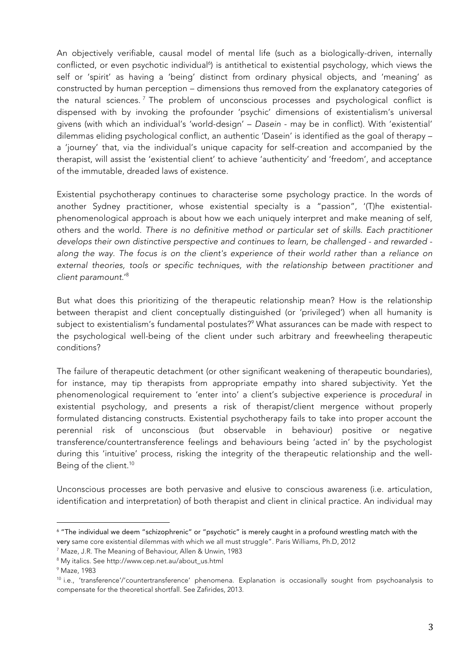An objectively verifiable, causal model of mental life (such as a biologically-driven, internally conflicted, or even psychotic individual<sup>6</sup>) is antithetical to existential psychology, which views the self or 'spirit' as having a 'being' distinct from ordinary physical objects, and 'meaning' as constructed by human perception – dimensions thus removed from the explanatory categories of the natural sciences.<sup>7</sup> The problem of unconscious processes and psychological conflict is dispensed with by invoking the profounder 'psychic' dimensions of existentialism's universal givens (with which an individual's 'world-design' – *Dasein* - may be in conflict). With 'existential' dilemmas eliding psychological conflict, an authentic 'Dasein' is identified as the goal of therapy – a 'journey' that, via the individual's unique capacity for self-creation and accompanied by the therapist, will assist the 'existential client' to achieve 'authenticity' and 'freedom', and acceptance of the immutable, dreaded laws of existence.

Existential psychotherapy continues to characterise some psychology practice. In the words of another Sydney practitioner, whose existential specialty is a "passion", '(T)he existentialphenomenological approach is about how we each uniquely interpret and make meaning of self, others and the world. *There is no definitive method or particular set of skills. Each practitioner develops their own distinctive perspective and continues to learn, be challenged - and rewarded along the way. The focus is on the client's experience of their world rather than a reliance on external theories, tools or specific techniques, with the relationship between practitioner and client paramount*.'8

But what does this prioritizing of the therapeutic relationship mean? How is the relationship between therapist and client conceptually distinguished (or 'privileged') when all humanity is subject to existentialism's fundamental postulates?<sup>9</sup> What assurances can be made with respect to the psychological well-being of the client under such arbitrary and freewheeling therapeutic conditions?

The failure of therapeutic detachment (or other significant weakening of therapeutic boundaries), for instance, may tip therapists from appropriate empathy into shared subjectivity. Yet the phenomenological requirement to 'enter into' a client's subjective experience is *procedural* in existential psychology, and presents a risk of therapist/client mergence without properly formulated distancing constructs. Existential psychotherapy fails to take into proper account the perennial risk of unconscious (but observable in behaviour) positive or negative transference/countertransference feelings and behaviours being 'acted in' by the psychologist during this 'intuitive' process, risking the integrity of the therapeutic relationship and the well-Being of the client.<sup>10</sup>

Unconscious processes are both pervasive and elusive to conscious awareness (i.e. articulation, identification and interpretation) of both therapist and client in clinical practice. An individual may

 $\overline{a}$ 

<sup>6</sup> "The individual we deem "schizophrenic" or "psychotic" is merely caught in a profound wrestling match with the very same core existential dilemmas with which we all must struggle". Paris Williams, Ph.D, 2012

<sup>7</sup> Maze, J.R. The Meaning of Behaviour, Allen & Unwin, 1983

<sup>8</sup> My italics. See http://www.cep.net.au/about\_us.html

<sup>9</sup> Maze*,* 1983

 $10$  i.e., 'transference'/'countertransference' phenomena. Explanation is occasionally sought from psychoanalysis to compensate for the theoretical shortfall. See Zafirides, 2013.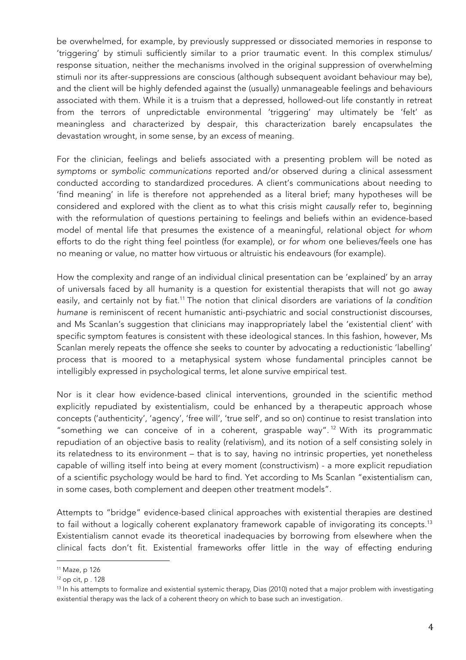be overwhelmed, for example, by previously suppressed or dissociated memories in response to 'triggering' by stimuli sufficiently similar to a prior traumatic event. In this complex stimulus/ response situation, neither the mechanisms involved in the original suppression of overwhelming stimuli nor its after-suppressions are conscious (although subsequent avoidant behaviour may be), and the client will be highly defended against the (usually) unmanageable feelings and behaviours associated with them. While it is a truism that a depressed, hollowed-out life constantly in retreat from the terrors of unpredictable environmental 'triggering' may ultimately be 'felt' as meaningless and characterized by despair, this characterization barely encapsulates the devastation wrought, in some sense, by an *excess* of meaning.

For the clinician, feelings and beliefs associated with a presenting problem will be noted as *symptoms* or *symbolic communications* reported and/or observed during a clinical assessment conducted according to standardized procedures. A client's communications about needing to 'find meaning' in life is therefore not apprehended as a literal brief; many hypotheses will be considered and explored with the client as to what this crisis might *causally* refer to, beginning with the reformulation of questions pertaining to feelings and beliefs within an evidence-based model of mental life that presumes the existence of a meaningful, relational object *for whom* efforts to do the right thing feel pointless (for example), or *for whom* one believes/feels one has no meaning or value*,* no matter how virtuous or altruistic his endeavours (for example).

How the complexity and range of an individual clinical presentation can be 'explained' by an array of universals faced by all humanity is a question for existential therapists that will not go away easily, and certainly not by fiat.11 The notion that clinical disorders are variations of *la condition humane* is reminiscent of recent humanistic anti-psychiatric and social constructionist discourses, and Ms Scanlan's suggestion that clinicians may inappropriately label the 'existential client' with specific symptom features is consistent with these ideological stances. In this fashion, however, Ms Scanlan merely repeats the offence she seeks to counter by advocating a reductionistic 'labelling' process that is moored to a metaphysical system whose fundamental principles cannot be intelligibly expressed in psychological terms, let alone survive empirical test.

Nor is it clear how evidence-based clinical interventions, grounded in the scientific method explicitly repudiated by existentialism, could be enhanced by a therapeutic approach whose concepts ('authenticity', 'agency', 'free will', 'true self', and so on) continue to resist translation into "something we can conceive of in a coherent, graspable way".<sup>12</sup> With its programmatic repudiation of an objective basis to reality (relativism), and its notion of a self consisting solely in its relatedness to its environment – that is to say, having no intrinsic properties, yet nonetheless capable of willing itself into being at every moment (constructivism) - a more explicit repudiation of a scientific psychology would be hard to find. Yet according to Ms Scanlan "existentialism can, in some cases, both complement and deepen other treatment models".

Attempts to "bridge" evidence-based clinical approaches with existential therapies are destined to fail without a logically coherent explanatory framework capable of invigorating its concepts.<sup>13</sup> Existentialism cannot evade its theoretical inadequacies by borrowing from elsewhere when the clinical facts don't fit. Existential frameworks offer little in the way of effecting enduring

 $\overline{a}$ 

<sup>11</sup> Maze*,* p 126

 $12$  op cit, p. 128

<sup>&</sup>lt;sup>13</sup> In his attempts to formalize and existential systemic therapy, Dias (2010) noted that a major problem with investigating existential therapy was the lack of a coherent theory on which to base such an investigation.